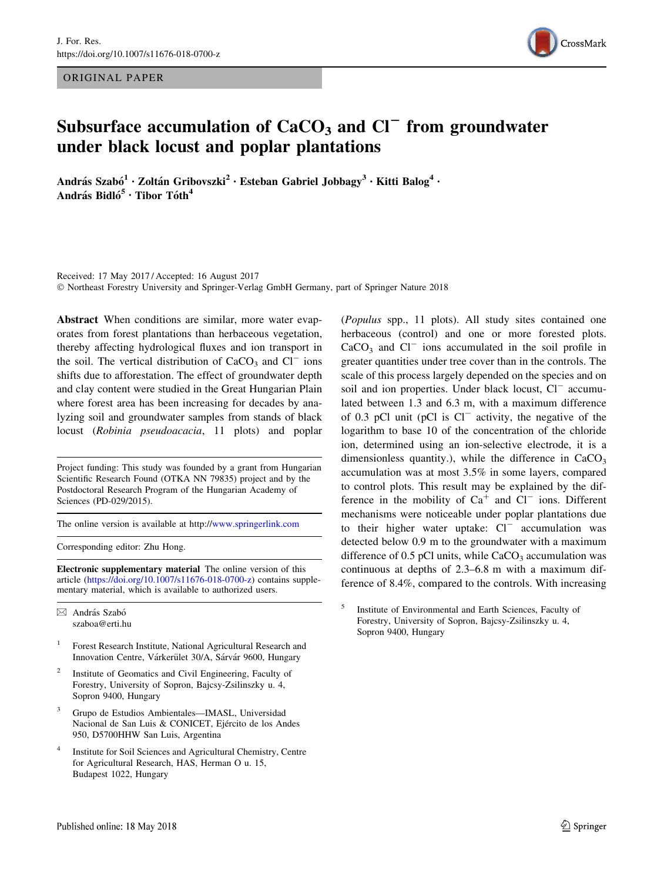ORIGINAL PAPER



# Subsurface accumulation of  $CaCO<sub>3</sub>$  and  $Cl<sup>-</sup>$  from groundwater under black locust and poplar plantations

András Szabó<sup>1</sup> • Zoltán Gribovszki<sup>2</sup> • Esteban Gabriel Jobbagy<sup>3</sup> • Kitti Balog<sup>4</sup> • András Bidló<sup>5</sup> • Tibor Tóth<sup>4</sup>

Received: 17 May 2017 / Accepted: 16 August 2017 - Northeast Forestry University and Springer-Verlag GmbH Germany, part of Springer Nature 2018

Abstract When conditions are similar, more water evaporates from forest plantations than herbaceous vegetation, thereby affecting hydrological fluxes and ion transport in the soil. The vertical distribution of  $CaCO<sub>3</sub>$  and  $Cl^-$  ions shifts due to afforestation. The effect of groundwater depth and clay content were studied in the Great Hungarian Plain where forest area has been increasing for decades by analyzing soil and groundwater samples from stands of black locust (Robinia pseudoacacia, 11 plots) and poplar

Project funding: This study was founded by a grant from Hungarian Scientific Research Found (OTKA NN 79835) project and by the Postdoctoral Research Program of the Hungarian Academy of Sciences (PD-029/2015).

The online version is available at http:/[/www.springerlink.com](http://www.springerlink.com)

Corresponding editor: Zhu Hong.

Electronic supplementary material The online version of this article [\(https://doi.org/10.1007/s11676-018-0700-z\)](https://doi.org/10.1007/s11676-018-0700-z) contains supplementary material, which is available to authorized users.

 $\boxtimes$  András Szabó szaboa@erti.hu

- <sup>1</sup> Forest Research Institute, National Agricultural Research and Innovation Centre, Várkerület 30/A, Sárvár 9600, Hungary
- <sup>2</sup> Institute of Geomatics and Civil Engineering, Faculty of Forestry, University of Sopron, Bajcsy-Zsilinszky u. 4, Sopron 9400, Hungary
- <sup>3</sup> Grupo de Estudios Ambientales—IMASL, Universidad Nacional de San Luis & CONICET, Ejército de los Andes 950, D5700HHW San Luis, Argentina
- <sup>4</sup> Institute for Soil Sciences and Agricultural Chemistry, Centre for Agricultural Research, HAS, Herman O u. 15, Budapest 1022, Hungary

(Populus spp., 11 plots). All study sites contained one herbaceous (control) and one or more forested plots.  $CaCO<sub>3</sub>$  and  $Cl<sup>-</sup>$  ions accumulated in the soil profile in greater quantities under tree cover than in the controls. The scale of this process largely depended on the species and on soil and ion properties. Under black locust, Cl<sup>-</sup> accumulated between 1.3 and 6.3 m, with a maximum difference of 0.3 pCl unit (pCl is  $Cl^-$  activity, the negative of the logarithm to base 10 of the concentration of the chloride ion, determined using an ion-selective electrode, it is a dimensionless quantity.), while the difference in  $CaCO<sub>3</sub>$ accumulation was at most 3.5% in some layers, compared to control plots. This result may be explained by the difference in the mobility of  $Ca<sup>+</sup>$  and  $Cl<sup>-</sup>$  ions. Different mechanisms were noticeable under poplar plantations due to their higher water uptake:  $Cl^-$  accumulation was detected below 0.9 m to the groundwater with a maximum difference of  $0.5$  pCl units, while  $CaCO<sub>3</sub>$  accumulation was continuous at depths of 2.3–6.8 m with a maximum difference of 8.4%, compared to the controls. With increasing

<sup>5</sup> Institute of Environmental and Earth Sciences, Faculty of Forestry, University of Sopron, Bajcsy-Zsilinszky u. 4, Sopron 9400, Hungary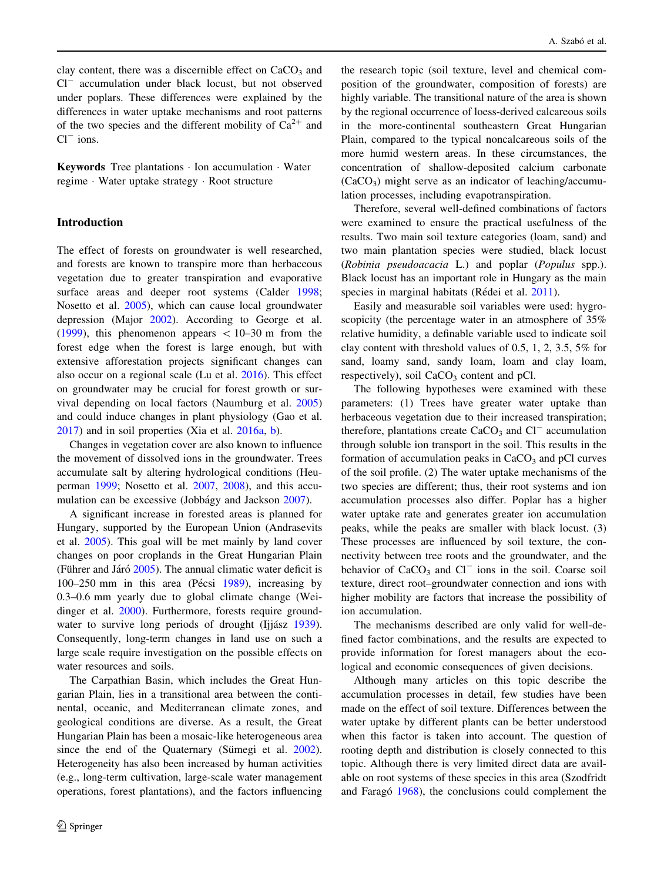clay content, there was a discernible effect on  $CaCO<sub>3</sub>$  and  $Cl^-$  accumulation under black locust, but not observed under poplars. These differences were explained by the differences in water uptake mechanisms and root patterns of the two species and the different mobility of  $Ca^{2+}$  and  $Cl^-$  ions.

Keywords Tree plantations - Ion accumulation - Water regime - Water uptake strategy - Root structure

#### Introduction

The effect of forests on groundwater is well researched, and forests are known to transpire more than herbaceous vegetation due to greater transpiration and evaporative surface areas and deeper root systems (Calder [1998](#page-7-0); Nosetto et al. [2005\)](#page-8-0), which can cause local groundwater depression (Major [2002](#page-7-0)). According to George et al. [\(1999](#page-7-0)), this phenomenon appears  $\lt$  10–30 m from the forest edge when the forest is large enough, but with extensive afforestation projects significant changes can also occur on a regional scale (Lu et al. [2016](#page-7-0)). This effect on groundwater may be crucial for forest growth or survival depending on local factors (Naumburg et al. [2005\)](#page-8-0) and could induce changes in plant physiology (Gao et al. [2017\)](#page-7-0) and in soil properties (Xia et al. [2016a,](#page-8-0) [b\)](#page-8-0).

Changes in vegetation cover are also known to influence the movement of dissolved ions in the groundwater. Trees accumulate salt by altering hydrological conditions (Heuperman [1999](#page-7-0); Nosetto et al. [2007](#page-8-0), [2008\)](#page-8-0), and this accu-mulation can be excessive (Jobbágy and Jackson [2007](#page-7-0)).

A significant increase in forested areas is planned for Hungary, supported by the European Union (Andrasevits et al. [2005\)](#page-7-0). This goal will be met mainly by land cover changes on poor croplands in the Great Hungarian Plain (Führer and Járó  $2005$ ). The annual climatic water deficit is 100–250 mm in this area (Pécsi  $1989$ ), increasing by 0.3–0.6 mm yearly due to global climate change (Weidinger et al. [2000\)](#page-8-0). Furthermore, forests require ground-water to survive long periods of drought (Ijjász [1939](#page-7-0)). Consequently, long-term changes in land use on such a large scale require investigation on the possible effects on water resources and soils.

The Carpathian Basin, which includes the Great Hungarian Plain, lies in a transitional area between the continental, oceanic, and Mediterranean climate zones, and geological conditions are diverse. As a result, the Great Hungarian Plain has been a mosaic-like heterogeneous area since the end of the Quaternary (Sümegi et al.  $2002$ ). Heterogeneity has also been increased by human activities (e.g., long-term cultivation, large-scale water management operations, forest plantations), and the factors influencing

the research topic (soil texture, level and chemical composition of the groundwater, composition of forests) are highly variable. The transitional nature of the area is shown by the regional occurrence of loess-derived calcareous soils in the more-continental southeastern Great Hungarian Plain, compared to the typical noncalcareous soils of the more humid western areas. In these circumstances, the concentration of shallow-deposited calcium carbonate  $(CaCO<sub>3</sub>)$  might serve as an indicator of leaching/accumulation processes, including evapotranspiration.

Therefore, several well-defined combinations of factors were examined to ensure the practical usefulness of the results. Two main soil texture categories (loam, sand) and two main plantation species were studied, black locust (Robinia pseudoacacia L.) and poplar (Populus spp.). Black locust has an important role in Hungary as the main species in marginal habitats (Rédei et al. [2011\)](#page-8-0).

Easily and measurable soil variables were used: hygroscopicity (the percentage water in an atmosphere of 35% relative humidity, a definable variable used to indicate soil clay content with threshold values of 0.5, 1, 2, 3.5, 5% for sand, loamy sand, sandy loam, loam and clay loam, respectively), soil  $CaCO<sub>3</sub>$  content and pCl.

The following hypotheses were examined with these parameters: (1) Trees have greater water uptake than herbaceous vegetation due to their increased transpiration; therefore, plantations create  $CaCO<sub>3</sub>$  and  $Cl^-$  accumulation through soluble ion transport in the soil. This results in the formation of accumulation peaks in  $CaCO<sub>3</sub>$  and pCl curves of the soil profile. (2) The water uptake mechanisms of the two species are different; thus, their root systems and ion accumulation processes also differ. Poplar has a higher water uptake rate and generates greater ion accumulation peaks, while the peaks are smaller with black locust. (3) These processes are influenced by soil texture, the connectivity between tree roots and the groundwater, and the behavior of  $CaCO<sub>3</sub>$  and  $Cl<sup>-</sup>$  ions in the soil. Coarse soil texture, direct root–groundwater connection and ions with higher mobility are factors that increase the possibility of ion accumulation.

The mechanisms described are only valid for well-defined factor combinations, and the results are expected to provide information for forest managers about the ecological and economic consequences of given decisions.

Although many articles on this topic describe the accumulation processes in detail, few studies have been made on the effect of soil texture. Differences between the water uptake by different plants can be better understood when this factor is taken into account. The question of rooting depth and distribution is closely connected to this topic. Although there is very limited direct data are available on root systems of these species in this area (Szodfridt and Farago<sup> 1968</sup>), the conclusions could complement the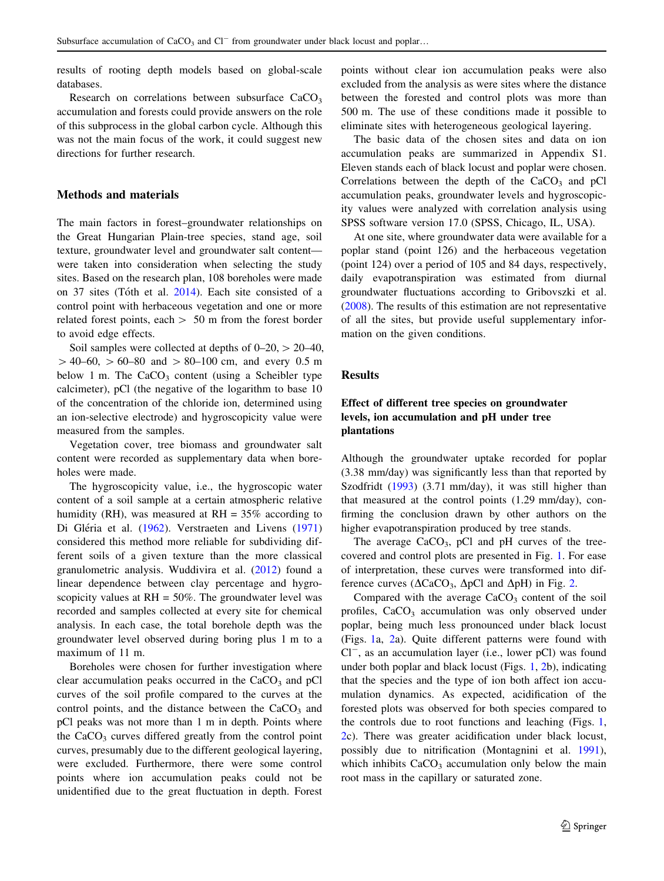results of rooting depth models based on global-scale databases.

Research on correlations between subsurface  $CaCO<sub>3</sub>$ accumulation and forests could provide answers on the role of this subprocess in the global carbon cycle. Although this was not the main focus of the work, it could suggest new directions for further research.

## Methods and materials

The main factors in forest–groundwater relationships on the Great Hungarian Plain-tree species, stand age, soil texture, groundwater level and groundwater salt content were taken into consideration when selecting the study sites. Based on the research plan, 108 boreholes were made on 37 sites (Tóth et al. [2014\)](#page-8-0). Each site consisted of a control point with herbaceous vegetation and one or more related forest points, each  $> 50$  m from the forest border to avoid edge effects.

Soil samples were collected at depths of  $0-20$ ,  $> 20-40$ ,  $> 40-60$ ,  $> 60-80$  and  $> 80-100$  cm, and every 0.5 m below 1 m. The  $CaCO<sub>3</sub>$  content (using a Scheibler type calcimeter), pCl (the negative of the logarithm to base 10 of the concentration of the chloride ion, determined using an ion-selective electrode) and hygroscopicity value were measured from the samples.

Vegetation cover, tree biomass and groundwater salt content were recorded as supplementary data when boreholes were made.

The hygroscopicity value, i.e., the hygroscopic water content of a soil sample at a certain atmospheric relative humidity (RH), was measured at  $RH = 35\%$  according to Di Gléria et al. ([1962\)](#page-7-0). Verstraeten and Livens ([1971\)](#page-8-0) considered this method more reliable for subdividing different soils of a given texture than the more classical granulometric analysis. Wuddivira et al. ([2012\)](#page-8-0) found a linear dependence between clay percentage and hygroscopicity values at  $RH = 50\%$ . The groundwater level was recorded and samples collected at every site for chemical analysis. In each case, the total borehole depth was the groundwater level observed during boring plus 1 m to a maximum of 11 m.

Boreholes were chosen for further investigation where clear accumulation peaks occurred in the  $CaCO<sub>3</sub>$  and pCl curves of the soil profile compared to the curves at the control points, and the distance between the  $CaCO<sub>3</sub>$  and pCl peaks was not more than 1 m in depth. Points where the  $CaCO<sub>3</sub>$  curves differed greatly from the control point curves, presumably due to the different geological layering, were excluded. Furthermore, there were some control points where ion accumulation peaks could not be unidentified due to the great fluctuation in depth. Forest points without clear ion accumulation peaks were also excluded from the analysis as were sites where the distance between the forested and control plots was more than 500 m. The use of these conditions made it possible to eliminate sites with heterogeneous geological layering.

The basic data of the chosen sites and data on ion accumulation peaks are summarized in Appendix S1. Eleven stands each of black locust and poplar were chosen. Correlations between the depth of the  $CaCO<sub>3</sub>$  and pCl accumulation peaks, groundwater levels and hygroscopicity values were analyzed with correlation analysis using SPSS software version 17.0 (SPSS, Chicago, IL, USA).

At one site, where groundwater data were available for a poplar stand (point 126) and the herbaceous vegetation (point 124) over a period of 105 and 84 days, respectively, daily evapotranspiration was estimated from diurnal groundwater fluctuations according to Gribovszki et al. [\(2008](#page-7-0)). The results of this estimation are not representative of all the sites, but provide useful supplementary information on the given conditions.

#### Results

# Effect of different tree species on groundwater levels, ion accumulation and pH under tree plantations

Although the groundwater uptake recorded for poplar (3.38 mm/day) was significantly less than that reported by Szodfridt [\(1993](#page-8-0)) (3.71 mm/day), it was still higher than that measured at the control points (1.29 mm/day), confirming the conclusion drawn by other authors on the higher evapotranspiration produced by tree stands.

The average  $CaCO<sub>3</sub>$ , pCl and pH curves of the treecovered and control plots are presented in Fig. [1](#page-3-0). For ease of interpretation, these curves were transformed into difference curves ( $\Delta$ CaCO<sub>3</sub>,  $\Delta$ pCl and  $\Delta$ pH) in Fig. [2.](#page-3-0)

Compared with the average  $CaCO<sub>3</sub>$  content of the soil profiles, CaCO<sub>3</sub> accumulation was only observed under poplar, being much less pronounced under black locust (Figs. [1](#page-3-0)a, [2](#page-3-0)a). Quite different patterns were found with  $Cl^-$ , as an accumulation layer (i.e., lower pCl) was found under both poplar and black locust (Figs. [1](#page-3-0), [2b](#page-3-0)), indicating that the species and the type of ion both affect ion accumulation dynamics. As expected, acidification of the forested plots was observed for both species compared to the controls due to root functions and leaching (Figs. [1,](#page-3-0) [2](#page-3-0)c). There was greater acidification under black locust, possibly due to nitrification (Montagnini et al. [1991](#page-8-0)), which inhibits  $CaCO<sub>3</sub>$  accumulation only below the main root mass in the capillary or saturated zone.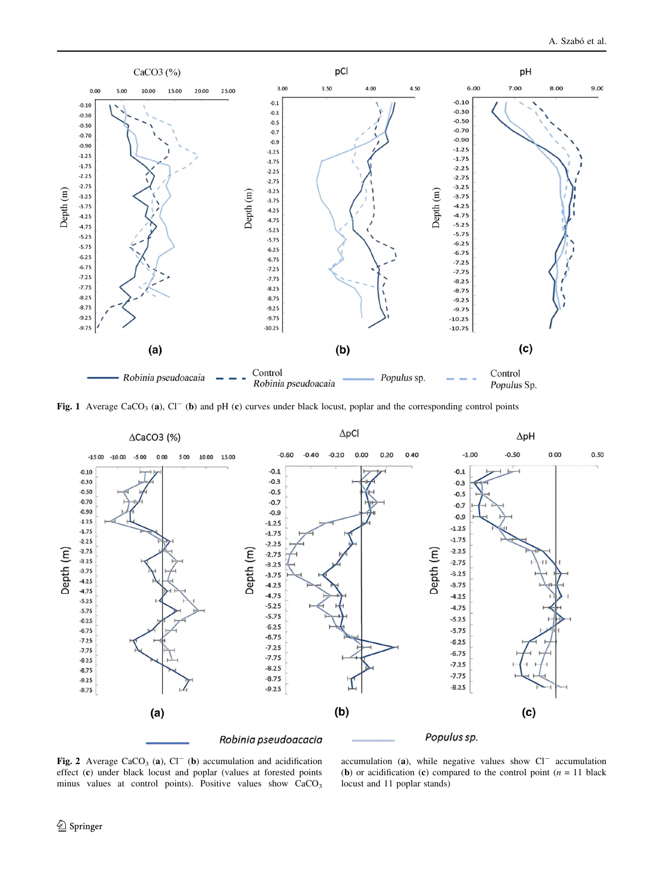<span id="page-3-0"></span>

Fig. 1 Average CaCO<sub>3</sub> (a), Cl<sup>-</sup> (b) and pH (c) curves under black locust, poplar and the corresponding control points



Fig. 2 Average CaCO<sub>3</sub> (a), Cl<sup>-</sup> (b) accumulation and acidification effect (c) under black locust and poplar (values at forested points minus values at control points). Positive values show  $CaCO<sub>3</sub>$ 

accumulation (a), while negative values show  $Cl^-$  accumulation (b) or acidification (c) compared to the control point  $(n = 11)$  black locust and 11 poplar stands)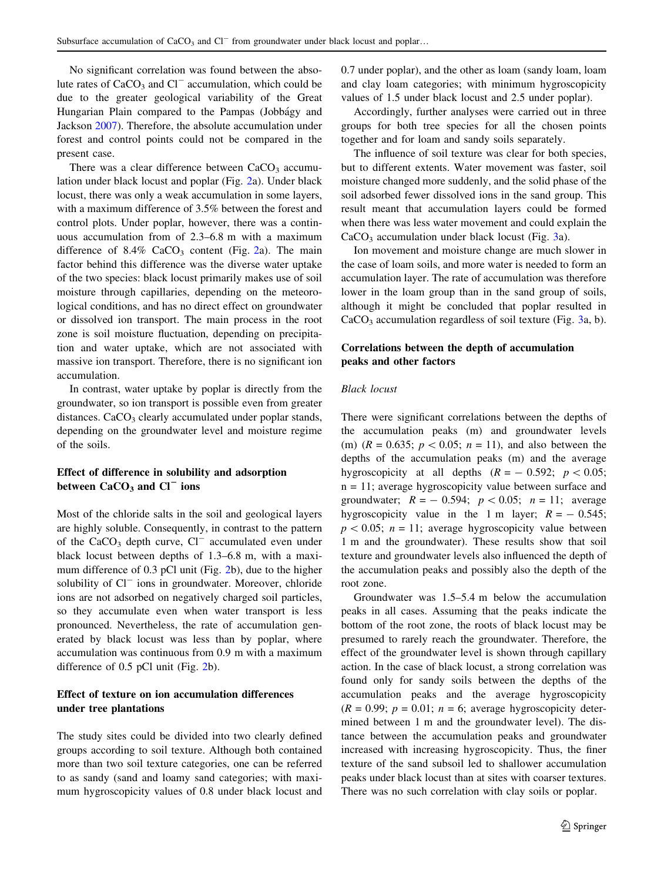No significant correlation was found between the absolute rates of  $CaCO<sub>3</sub>$  and  $Cl<sup>-</sup>$  accumulation, which could be due to the greater geological variability of the Great Hungarian Plain compared to the Pampas (Jobbágy and Jackson [2007](#page-7-0)). Therefore, the absolute accumulation under forest and control points could not be compared in the present case.

There was a clear difference between  $CaCO<sub>3</sub>$  accumulation under black locust and poplar (Fig. [2a](#page-3-0)). Under black locust, there was only a weak accumulation in some layers, with a maximum difference of 3.5% between the forest and control plots. Under poplar, however, there was a continuous accumulation from of 2.3–6.8 m with a maximum difference of  $8.4\%$  CaCO<sub>3</sub> content (Fig. [2a](#page-3-0)). The main factor behind this difference was the diverse water uptake of the two species: black locust primarily makes use of soil moisture through capillaries, depending on the meteorological conditions, and has no direct effect on groundwater or dissolved ion transport. The main process in the root zone is soil moisture fluctuation, depending on precipitation and water uptake, which are not associated with massive ion transport. Therefore, there is no significant ion accumulation.

In contrast, water uptake by poplar is directly from the groundwater, so ion transport is possible even from greater distances.  $CaCO<sub>3</sub>$  clearly accumulated under poplar stands, depending on the groundwater level and moisture regime of the soils.

# Effect of difference in solubility and adsorption between  $CaCO<sub>3</sub>$  and  $Cl<sup>-</sup>$  ions

Most of the chloride salts in the soil and geological layers are highly soluble. Consequently, in contrast to the pattern of the  $CaCO<sub>3</sub>$  depth curve,  $Cl^-$  accumulated even under black locust between depths of 1.3–6.8 m, with a maximum difference of 0.3 pCl unit (Fig. [2](#page-3-0)b), due to the higher solubility of  $Cl^-$  ions in groundwater. Moreover, chloride ions are not adsorbed on negatively charged soil particles, so they accumulate even when water transport is less pronounced. Nevertheless, the rate of accumulation generated by black locust was less than by poplar, where accumulation was continuous from 0.9 m with a maximum difference of 0.5 pCl unit (Fig. [2b](#page-3-0)).

# Effect of texture on ion accumulation differences under tree plantations

The study sites could be divided into two clearly defined groups according to soil texture. Although both contained more than two soil texture categories, one can be referred to as sandy (sand and loamy sand categories; with maximum hygroscopicity values of 0.8 under black locust and 0.7 under poplar), and the other as loam (sandy loam, loam and clay loam categories; with minimum hygroscopicity values of 1.5 under black locust and 2.5 under poplar).

Accordingly, further analyses were carried out in three groups for both tree species for all the chosen points together and for loam and sandy soils separately.

The influence of soil texture was clear for both species, but to different extents. Water movement was faster, soil moisture changed more suddenly, and the solid phase of the soil adsorbed fewer dissolved ions in the sand group. This result meant that accumulation layers could be formed when there was less water movement and could explain the  $CaCO<sub>3</sub>$  $CaCO<sub>3</sub>$  $CaCO<sub>3</sub>$  accumulation under black locust (Fig. 3a).

Ion movement and moisture change are much slower in the case of loam soils, and more water is needed to form an accumulation layer. The rate of accumulation was therefore lower in the loam group than in the sand group of soils, although it might be concluded that poplar resulted in  $CaCO<sub>3</sub>$  accumulation regardless of soil texture (Fig. [3a](#page-5-0), b).

# Correlations between the depth of accumulation peaks and other factors

# Black locust

There were significant correlations between the depths of the accumulation peaks (m) and groundwater levels (m)  $(R = 0.635; p < 0.05; n = 11)$ , and also between the depths of the accumulation peaks (m) and the average hygroscopicity at all depths  $(R = -0.592; p < 0.05;$ n = 11; average hygroscopicity value between surface and groundwater;  $R = -0.594$ ;  $p < 0.05$ ;  $n = 11$ ; average hygroscopicity value in the 1 m layer;  $R = -0.545$ ;  $p < 0.05$ ;  $n = 11$ ; average hygroscopicity value between 1 m and the groundwater). These results show that soil texture and groundwater levels also influenced the depth of the accumulation peaks and possibly also the depth of the root zone.

Groundwater was 1.5–5.4 m below the accumulation peaks in all cases. Assuming that the peaks indicate the bottom of the root zone, the roots of black locust may be presumed to rarely reach the groundwater. Therefore, the effect of the groundwater level is shown through capillary action. In the case of black locust, a strong correlation was found only for sandy soils between the depths of the accumulation peaks and the average hygroscopicity  $(R = 0.99; p = 0.01; n = 6;$  average hygroscopicity determined between 1 m and the groundwater level). The distance between the accumulation peaks and groundwater increased with increasing hygroscopicity. Thus, the finer texture of the sand subsoil led to shallower accumulation peaks under black locust than at sites with coarser textures. There was no such correlation with clay soils or poplar.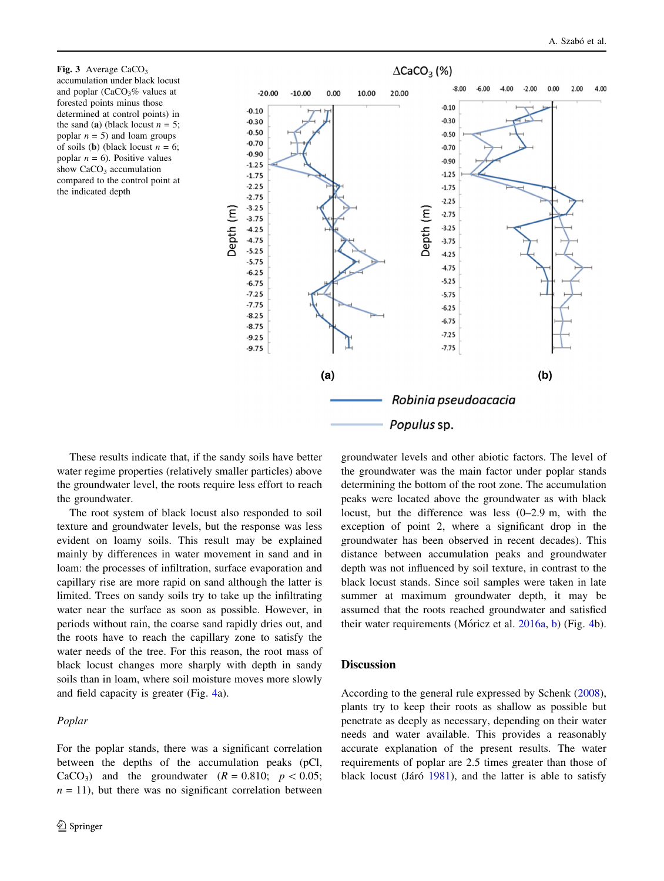<span id="page-5-0"></span>Fig. 3 Average  $CaCO<sub>3</sub>$ accumulation under black locust and poplar  $(CaCO<sub>3</sub>%$  values at forested points minus those determined at control points) in the sand (a) (black locust  $n = 5$ ; poplar  $n = 5$ ) and loam groups of soils (**b**) (black locust  $n = 6$ ; poplar  $n = 6$ ). Positive values show  $CaCO<sub>3</sub>$  accumulation compared to the control point at the indicated depth



These results indicate that, if the sandy soils have better water regime properties (relatively smaller particles) above the groundwater level, the roots require less effort to reach the groundwater.

The root system of black locust also responded to soil texture and groundwater levels, but the response was less evident on loamy soils. This result may be explained mainly by differences in water movement in sand and in loam: the processes of infiltration, surface evaporation and capillary rise are more rapid on sand although the latter is limited. Trees on sandy soils try to take up the infiltrating water near the surface as soon as possible. However, in periods without rain, the coarse sand rapidly dries out, and the roots have to reach the capillary zone to satisfy the water needs of the tree. For this reason, the root mass of black locust changes more sharply with depth in sandy soils than in loam, where soil moisture moves more slowly and field capacity is greater (Fig. [4](#page-6-0)a).

## Poplar

For the poplar stands, there was a significant correlation between the depths of the accumulation peaks (pCl, CaCO<sub>3</sub>) and the groundwater  $(R = 0.810; p < 0.05;$  $n = 11$ ), but there was no significant correlation between groundwater levels and other abiotic factors. The level of the groundwater was the main factor under poplar stands determining the bottom of the root zone. The accumulation peaks were located above the groundwater as with black locust, but the difference was less (0–2.9 m, with the exception of point 2, where a significant drop in the groundwater has been observed in recent decades). This distance between accumulation peaks and groundwater depth was not influenced by soil texture, in contrast to the black locust stands. Since soil samples were taken in late summer at maximum groundwater depth, it may be assumed that the roots reached groundwater and satisfied their water requirements (Móricz et al.  $2016a$ , [b\)](#page-8-0) (Fig. [4](#page-6-0)b).

## **Discussion**

According to the general rule expressed by Schenk [\(2008](#page-8-0)), plants try to keep their roots as shallow as possible but penetrate as deeply as necessary, depending on their water needs and water available. This provides a reasonably accurate explanation of the present results. The water requirements of poplar are 2.5 times greater than those of black locust (Járó [1981](#page-7-0)), and the latter is able to satisfy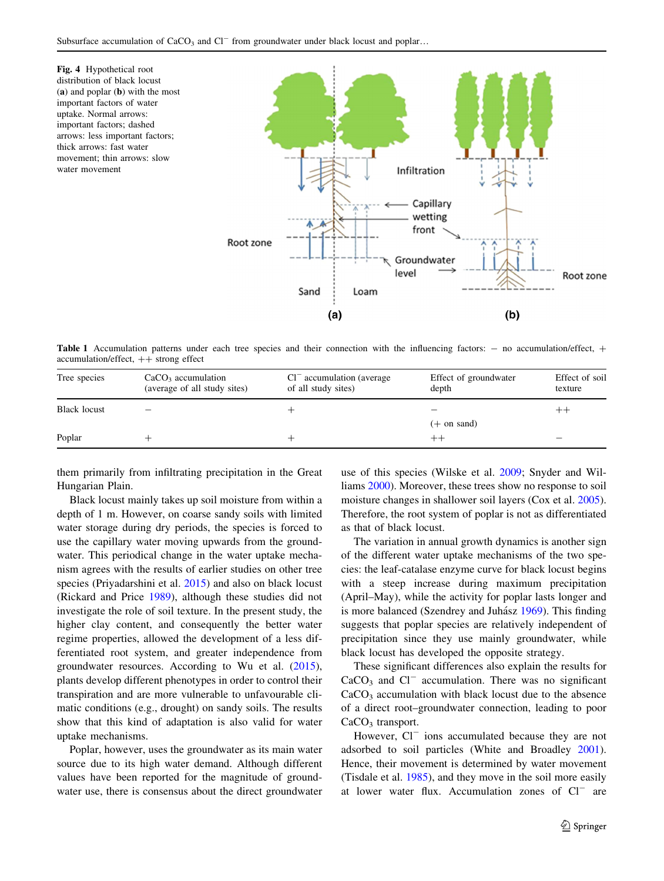<span id="page-6-0"></span>

**Table 1** Accumulation patterns under each tree species and their connection with the influencing factors:  $-$  no accumulation/effect,  $+$  $accumulation/effect$ ,  $++$  strong effect

| Tree species        | $CaCO3$ accumulation<br>(average of all study sites) | $Cl^-$ accumulation (average<br>of all study sites) | Effect of groundwater<br>depth | Effect of soil<br>texture |
|---------------------|------------------------------------------------------|-----------------------------------------------------|--------------------------------|---------------------------|
| <b>Black locust</b> |                                                      |                                                     |                                | $^{++}$                   |
|                     |                                                      |                                                     | $(+$ on sand)                  |                           |
| Poplar              |                                                      |                                                     |                                |                           |

them primarily from infiltrating precipitation in the Great Hungarian Plain.

Black locust mainly takes up soil moisture from within a depth of 1 m. However, on coarse sandy soils with limited water storage during dry periods, the species is forced to use the capillary water moving upwards from the groundwater. This periodical change in the water uptake mechanism agrees with the results of earlier studies on other tree species (Priyadarshini et al. [2015](#page-8-0)) and also on black locust (Rickard and Price [1989\)](#page-8-0), although these studies did not investigate the role of soil texture. In the present study, the higher clay content, and consequently the better water regime properties, allowed the development of a less differentiated root system, and greater independence from groundwater resources. According to Wu et al. [\(2015](#page-8-0)), plants develop different phenotypes in order to control their transpiration and are more vulnerable to unfavourable climatic conditions (e.g., drought) on sandy soils. The results show that this kind of adaptation is also valid for water uptake mechanisms.

Poplar, however, uses the groundwater as its main water source due to its high water demand. Although different values have been reported for the magnitude of groundwater use, there is consensus about the direct groundwater

use of this species (Wilske et al. [2009](#page-8-0); Snyder and Williams [2000](#page-8-0)). Moreover, these trees show no response to soil moisture changes in shallower soil layers (Cox et al. [2005](#page-7-0)). Therefore, the root system of poplar is not as differentiated as that of black locust.

The variation in annual growth dynamics is another sign of the different water uptake mechanisms of the two species: the leaf-catalase enzyme curve for black locust begins with a steep increase during maximum precipitation (April–May), while the activity for poplar lasts longer and is more balanced (Szendrey and Juhász [1969\)](#page-8-0). This finding suggests that poplar species are relatively independent of precipitation since they use mainly groundwater, while black locust has developed the opposite strategy.

These significant differences also explain the results for  $CaCO<sub>3</sub>$  and  $Cl^-$  accumulation. There was no significant  $CaCO<sub>3</sub>$  accumulation with black locust due to the absence of a direct root–groundwater connection, leading to poor  $CaCO<sub>3</sub>$  transport.

However,  $Cl^-$  ions accumulated because they are not adsorbed to soil particles (White and Broadley [2001](#page-8-0)). Hence, their movement is determined by water movement (Tisdale et al. [1985](#page-8-0)), and they move in the soil more easily at lower water flux. Accumulation zones of  $Cl^-$  are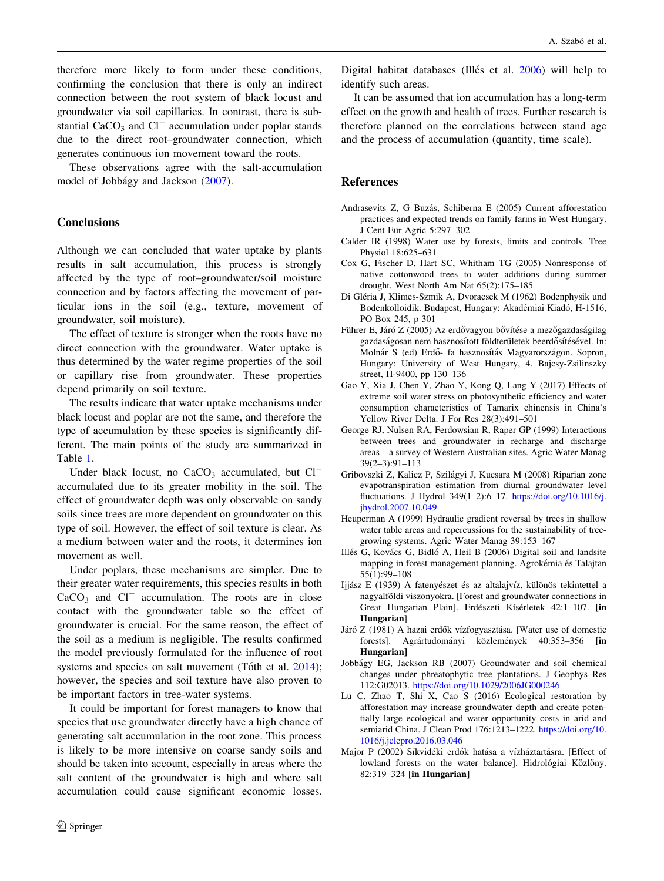<span id="page-7-0"></span>therefore more likely to form under these conditions, confirming the conclusion that there is only an indirect connection between the root system of black locust and groundwater via soil capillaries. In contrast, there is substantial  $CaCO<sub>3</sub>$  and  $Cl^-$  accumulation under poplar stands due to the direct root–groundwater connection, which generates continuous ion movement toward the roots.

These observations agree with the salt-accumulation model of Jobbágy and Jackson (2007).

## **Conclusions**

Although we can concluded that water uptake by plants results in salt accumulation, this process is strongly affected by the type of root–groundwater/soil moisture connection and by factors affecting the movement of particular ions in the soil (e.g., texture, movement of groundwater, soil moisture).

The effect of texture is stronger when the roots have no direct connection with the groundwater. Water uptake is thus determined by the water regime properties of the soil or capillary rise from groundwater. These properties depend primarily on soil texture.

The results indicate that water uptake mechanisms under black locust and poplar are not the same, and therefore the type of accumulation by these species is significantly different. The main points of the study are summarized in Table [1](#page-6-0).

Under black locust, no CaCO<sub>3</sub> accumulated, but  $Cl^$ accumulated due to its greater mobility in the soil. The effect of groundwater depth was only observable on sandy soils since trees are more dependent on groundwater on this type of soil. However, the effect of soil texture is clear. As a medium between water and the roots, it determines ion movement as well.

Under poplars, these mechanisms are simpler. Due to their greater water requirements, this species results in both  $CaCO<sub>3</sub>$  and  $Cl<sup>-</sup>$  accumulation. The roots are in close contact with the groundwater table so the effect of groundwater is crucial. For the same reason, the effect of the soil as a medium is negligible. The results confirmed the model previously formulated for the influence of root systems and species on salt movement (Tóth et al.  $2014$ ); however, the species and soil texture have also proven to be important factors in tree-water systems.

It could be important for forest managers to know that species that use groundwater directly have a high chance of generating salt accumulation in the root zone. This process is likely to be more intensive on coarse sandy soils and should be taken into account, especially in areas where the salt content of the groundwater is high and where salt accumulation could cause significant economic losses.

Digital habitat databases (Illés et al. 2006) will help to identify such areas.

It can be assumed that ion accumulation has a long-term effect on the growth and health of trees. Further research is therefore planned on the correlations between stand age and the process of accumulation (quantity, time scale).

## References

Andrasevits Z, G Buzás, Schiberna E (2005) Current afforestation practices and expected trends on family farms in West Hungary. J Cent Eur Agric 5:297–302

- Calder IR (1998) Water use by forests, limits and controls. Tree Physiol 18:625–631
- Cox G, Fischer D, Hart SC, Whitham TG (2005) Nonresponse of native cottonwood trees to water additions during summer drought. West North Am Nat 65(2):175–185
- Di Gléria J, Klimes-Szmik A, Dvoracsek M (1962) Bodenphysik und Bodenkolloidik. Budapest, Hungary: Akadémiai Kiadó, H-1516, PO Box 245, p 301
- Führer E, Járó Z (2005) Az erdővagyon bővítése a mezőgazdaságilag gazdaságosan nem hasznosított földterületek beerdősítésével. In: Molnár S (ed) Erdő- fa hasznosítás Magyarországon. Sopron, Hungary: University of West Hungary, 4. Bajcsy-Zsilinszky street, H-9400, pp 130–136
- Gao Y, Xia J, Chen Y, Zhao Y, Kong Q, Lang Y (2017) Effects of extreme soil water stress on photosynthetic efficiency and water consumption characteristics of Tamarix chinensis in China's Yellow River Delta. J For Res 28(3):491–501
- George RJ, Nulsen RA, Ferdowsian R, Raper GP (1999) Interactions between trees and groundwater in recharge and discharge areas—a survey of Western Australian sites. Agric Water Manag 39(2–3):91–113
- Gribovszki Z, Kalicz P, Szila´gyi J, Kucsara M (2008) Riparian zone evapotranspiration estimation from diurnal groundwater level fluctuations. J Hydrol 349(1–2):6–17. [https://doi.org/10.1016/j.](https://doi.org/10.1016/j.jhydrol.2007.10.049) [jhydrol.2007.10.049](https://doi.org/10.1016/j.jhydrol.2007.10.049)
- Heuperman A (1999) Hydraulic gradient reversal by trees in shallow water table areas and repercussions for the sustainability of treegrowing systems. Agric Water Manag 39:153–167
- Illés G, Kovács G, Bidló A, Heil B (2006) Digital soil and landsite mapping in forest management planning. Agrokémia és Talajtan 55(1):99–108
- Ijjász E (1939) A fatenyészet és az altalajvíz, különös tekintettel a nagyalföldi viszonyokra. [Forest and groundwater connections in Great Hungarian Plain]. Erdészeti Kísérletek 42:1-107. [in Hungarian]
- Járó Z (1981) A hazai erdők vízfogyasztása. [Water use of domestic forests]. Agrártudományi közlemények 40:353–356 [in Hungarian]
- Jobba´gy EG, Jackson RB (2007) Groundwater and soil chemical changes under phreatophytic tree plantations. J Geophys Res 112:G02013. <https://doi.org/10.1029/2006JG000246>
- Lu C, Zhao T, Shi X, Cao S (2016) Ecological restoration by afforestation may increase groundwater depth and create potentially large ecological and water opportunity costs in arid and semiarid China. J Clean Prod 176:1213–1222. [https://doi.org/10.](https://doi.org/10.1016/j.jclepro.2016.03.046) [1016/j.jclepro.2016.03.046](https://doi.org/10.1016/j.jclepro.2016.03.046)
- Major P (2002) Síkvidéki erdők hatása a vízháztartásra. [Effect of lowland forests on the water balance]. Hidrológiai Közlöny. 82:319–324 [in Hungarian]